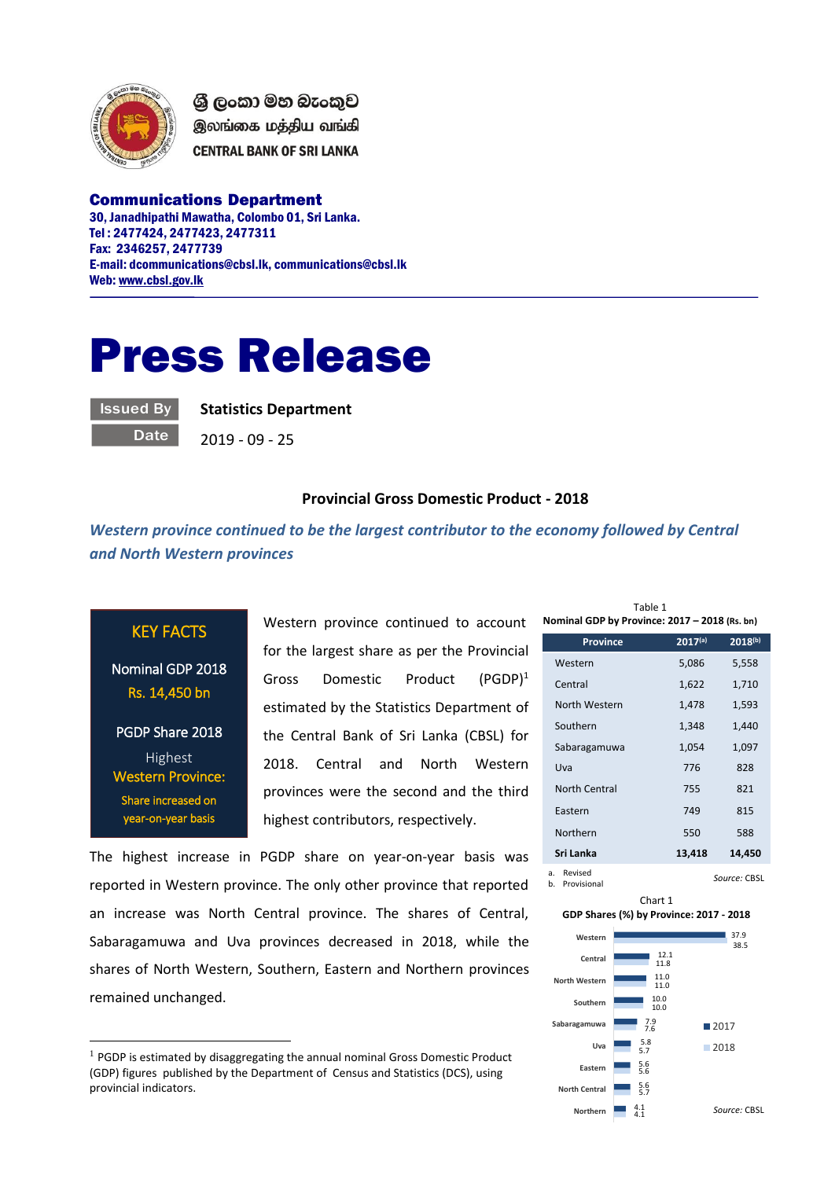

ශී ලංකා මහ බැංකුව இலங்கை மத்திய வங்கி **CENTRAL BANK OF SRI LANKA** 

Communications Department 30, Janadhipathi Mawatha, Colombo 01, Sri Lanka. Tel : 2477424, 2477423, 2477311 Fax: 2346257, 2477739 E-mail: dcommunications@cbsl.lk, communications@cbsl.lk Web[: www.cbsl.gov.lk](http://www.cbsl.gov.lk/)

## Press Release

Issued By

**Date** 

**Statistics Department**

2019 - 09 - 25

## **Provincial Gross Domestic Product - 2018**

*Western province continued to be the largest contributor to the economy followed by Central and North Western provinces*

## KEY FACTS

Nominal GDP 2018 Rs. 14,450 bn

PGDP Share 2018 Highest Western Province: Share increased on year-on-year basis

 $\overline{a}$ 

Western province continued to account for the largest share as per the Provincial Gross Domestic Product (PGDP)<sup>1</sup> estimated by the Statistics Department of the Central Bank of Sri Lanka (CBSL) for 2018. Central and North Western provinces were the second and the third highest contributors, respectively.

The highest increase in PGDP share on year-on-year basis was reported in Western province. The only other province that reported an increase was North Central province. The shares of Central, Sabaragamuwa and Uva provinces decreased in 2018, while the shares of North Western, Southern, Eastern and Northern provinces remained unchanged.

| Nominal GDP by Province: 2017 - 2018 (Rs. bn) |              |           |  |
|-----------------------------------------------|--------------|-----------|--|
| <b>Province</b>                               | $2017^{(a)}$ | 2018(b)   |  |
| Western                                       | 5,086        | 5,558     |  |
| Central                                       | 1,622        | 1,710     |  |
| North Western                                 | 1,478        | 1,593     |  |
| Southern                                      | 1,348        | 1,440     |  |
| Sabaragamuwa                                  | 1,054        | 1,097     |  |
| Uva                                           | 776          | 828       |  |
| North Central                                 | 755          | 821       |  |
| Eastern                                       | 749          | 815       |  |
| Northern                                      | 550          | 588       |  |
| Sri Lanka                                     | 13,418       | 14,450    |  |
| Revised<br>a.                                 |              | $C = 100$ |  |

Table 1

Chart 1 **GDP Shares (%) by Province: 2017 - 2018**



 $1$  PGDP is estimated by disaggregating the annual nominal Gross Domestic Product (GDP) figures published by the Department of Census and Statistics (DCS), using provincial indicators.

b. Provisional *Source:* CBSL